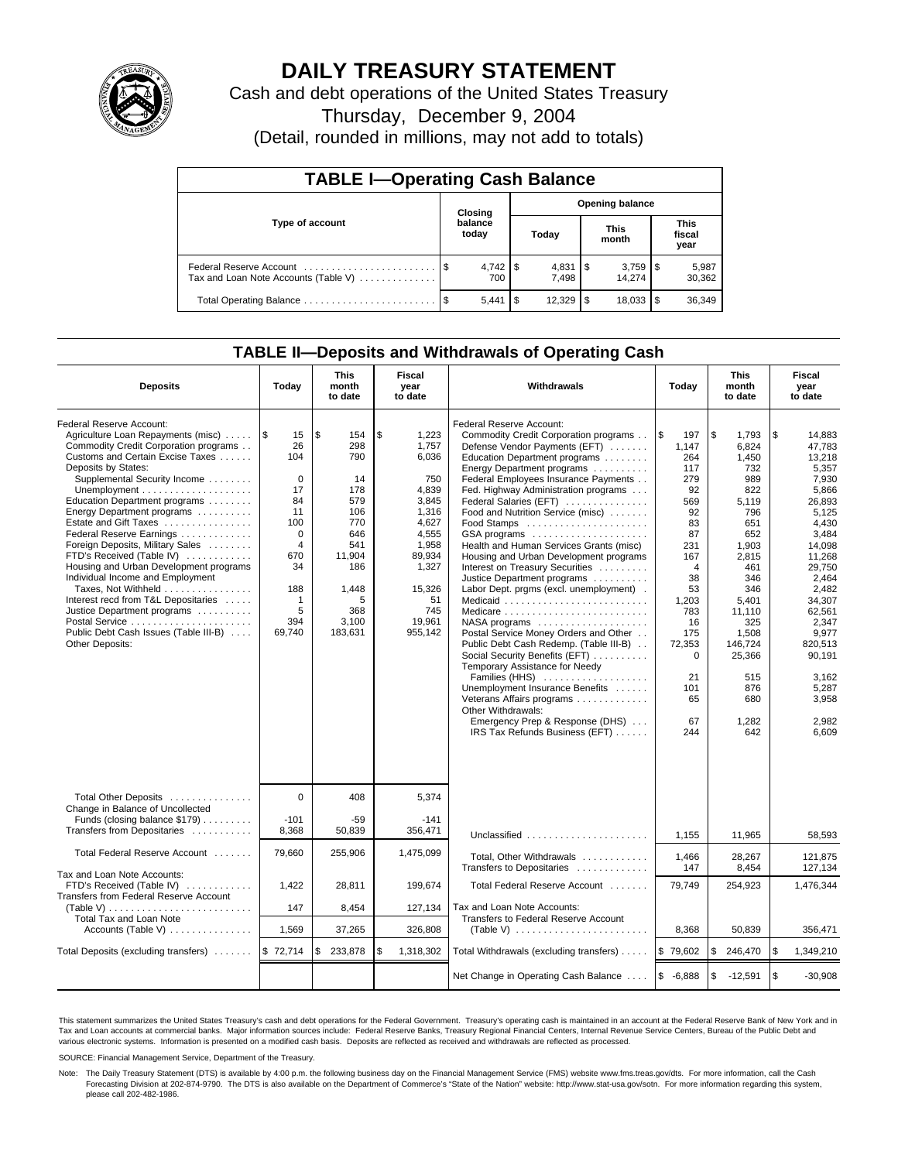

# **DAILY TREASURY STATEMENT**

Cash and debt operations of the United States Treasury

Thursday, December 9, 2004

(Detail, rounded in millions, may not add to totals)

| <b>TABLE I-Operating Cash Balance</b>                           |         |                  |       |                        |                      |                 |                               |                 |  |  |  |
|-----------------------------------------------------------------|---------|------------------|-------|------------------------|----------------------|-----------------|-------------------------------|-----------------|--|--|--|
|                                                                 | Closing |                  |       | <b>Opening balance</b> |                      |                 |                               |                 |  |  |  |
| Type of account                                                 |         | balance<br>today | Today |                        | <b>This</b><br>month |                 | <b>This</b><br>fiscal<br>year |                 |  |  |  |
| Federal Reserve Account<br>Tax and Loan Note Accounts (Table V) |         | 700              |       | 7.498                  |                      | 3,759<br>14.274 | 1\$                           | 5,987<br>30,362 |  |  |  |
|                                                                 |         | 5.441            |       | 12,329                 | 1 \$                 | 18,033          |                               | 36,349          |  |  |  |

## **TABLE II—Deposits and Withdrawals of Operating Cash**

| <b>Deposits</b>                                                                                                                                                                                                                                                                                                                                                                                                                                                                                                                                                                                                                | Today                                                                                                                                       | <b>This</b><br>month<br>to date                                                                                                     | Fiscal<br>year<br>to date                                                                                                                                 | Withdrawals                                                                                                                                                                                                                                                                                                                                                                                                                                                                                                                                                                                                                                                                                                                                                                                                                                                                                         | Today                                                                                                                                                                                                  | <b>This</b><br>month<br>to date                                                                                                                                                                                      |    | Fiscal<br>year<br>to date                                                                                                                                                                                                                          |
|--------------------------------------------------------------------------------------------------------------------------------------------------------------------------------------------------------------------------------------------------------------------------------------------------------------------------------------------------------------------------------------------------------------------------------------------------------------------------------------------------------------------------------------------------------------------------------------------------------------------------------|---------------------------------------------------------------------------------------------------------------------------------------------|-------------------------------------------------------------------------------------------------------------------------------------|-----------------------------------------------------------------------------------------------------------------------------------------------------------|-----------------------------------------------------------------------------------------------------------------------------------------------------------------------------------------------------------------------------------------------------------------------------------------------------------------------------------------------------------------------------------------------------------------------------------------------------------------------------------------------------------------------------------------------------------------------------------------------------------------------------------------------------------------------------------------------------------------------------------------------------------------------------------------------------------------------------------------------------------------------------------------------------|--------------------------------------------------------------------------------------------------------------------------------------------------------------------------------------------------------|----------------------------------------------------------------------------------------------------------------------------------------------------------------------------------------------------------------------|----|----------------------------------------------------------------------------------------------------------------------------------------------------------------------------------------------------------------------------------------------------|
| Federal Reserve Account:<br>Agriculture Loan Repayments (misc)<br>Commodity Credit Corporation programs<br>Customs and Certain Excise Taxes<br>Deposits by States:<br>Supplemental Security Income<br>Education Department programs<br>Energy Department programs<br>Estate and Gift Taxes<br>Federal Reserve Earnings<br>Foreign Deposits, Military Sales<br>FTD's Received (Table IV)<br>Housing and Urban Development programs<br>Individual Income and Employment<br>Taxes, Not Withheld<br>Interest recd from T&L Depositaries<br>Justice Department programs<br>Public Debt Cash Issues (Table III-B)<br>Other Deposits: | ۱\$<br>15<br>26<br>104<br>$\Omega$<br>17<br>84<br>11<br>100<br>$\mathbf 0$<br>$\overline{4}$<br>670<br>34<br>188<br>1<br>5<br>394<br>69,740 | l \$<br>154<br>298<br>790<br>14<br>178<br>579<br>106<br>770<br>646<br>541<br>11,904<br>186<br>1,448<br>5<br>368<br>3,100<br>183,631 | \$<br>1,223<br>1.757<br>6,036<br>750<br>4,839<br>3.845<br>1.316<br>4,627<br>4,555<br>1,958<br>89,934<br>1,327<br>15,326<br>51<br>745<br>19.961<br>955,142 | Federal Reserve Account:<br>Commodity Credit Corporation programs<br>Defense Vendor Payments (EFT)<br>Education Department programs<br>Energy Department programs<br>Federal Employees Insurance Payments<br>Fed. Highway Administration programs<br>Federal Salaries (EFT)<br>Food and Nutrition Service (misc)<br>GSA programs<br>Health and Human Services Grants (misc)<br>Housing and Urban Development programs<br>Interest on Treasury Securities<br>Justice Department programs<br>Labor Dept. prgms (excl. unemployment).<br>Medicare<br>NASA programs<br>Postal Service Money Orders and Other<br>Public Debt Cash Redemp. (Table III-B)<br>Social Security Benefits (EFT)<br>Temporary Assistance for Needy<br>Families (HHS)<br>Unemployment Insurance Benefits<br>Veterans Affairs programs<br>Other Withdrawals:<br>Emergency Prep & Response (DHS)<br>IRS Tax Refunds Business (EFT) | 1\$<br>197<br>1.147<br>264<br>117<br>279<br>92<br>569<br>92<br>83<br>87<br>231<br>167<br>$\overline{4}$<br>38<br>53<br>1,203<br>783<br>16<br>175<br>72,353<br>$\Omega$<br>21<br>101<br>65<br>67<br>244 | \$<br>1.793<br>6.824<br>1.450<br>732<br>989<br>822<br>5.119<br>796<br>651<br>652<br>1,903<br>2,815<br>461<br>346<br>346<br>5,401<br>11,110<br>325<br>1,508<br>146.724<br>25,366<br>515<br>876<br>680<br>1,282<br>642 | \$ | 14,883<br>47,783<br>13.218<br>5,357<br>7,930<br>5,866<br>26.893<br>5,125<br>4,430<br>3,484<br>14,098<br>11,268<br>29.750<br>2.464<br>2,482<br>34,307<br>62.561<br>2,347<br>9.977<br>820.513<br>90,191<br>3.162<br>5,287<br>3,958<br>2,982<br>6,609 |
| Total Other Deposits<br>Change in Balance of Uncollected<br>Funds (closing balance \$179)<br>Transfers from Depositaries                                                                                                                                                                                                                                                                                                                                                                                                                                                                                                       | $\mathbf 0$<br>$-101$<br>8,368                                                                                                              | 408<br>$-59$<br>50,839                                                                                                              | 5.374<br>$-141$<br>356,471                                                                                                                                | Unclassified                                                                                                                                                                                                                                                                                                                                                                                                                                                                                                                                                                                                                                                                                                                                                                                                                                                                                        | 1.155                                                                                                                                                                                                  | 11,965                                                                                                                                                                                                               |    | 58.593                                                                                                                                                                                                                                             |
| Total Federal Reserve Account                                                                                                                                                                                                                                                                                                                                                                                                                                                                                                                                                                                                  | 79,660                                                                                                                                      | 255,906                                                                                                                             | 1,475,099                                                                                                                                                 | Total, Other Withdrawals<br>Transfers to Depositaries                                                                                                                                                                                                                                                                                                                                                                                                                                                                                                                                                                                                                                                                                                                                                                                                                                               | 1,466<br>147                                                                                                                                                                                           | 28,267<br>8,454                                                                                                                                                                                                      |    | 121,875<br>127,134                                                                                                                                                                                                                                 |
| Tax and Loan Note Accounts:<br>FTD's Received (Table IV)<br>Transfers from Federal Reserve Account<br>(Table V) $\ldots \ldots \ldots \ldots \ldots \ldots \ldots \ldots$                                                                                                                                                                                                                                                                                                                                                                                                                                                      | 1,422<br>147                                                                                                                                | 28,811<br>8,454                                                                                                                     | 199.674<br>127,134                                                                                                                                        | Total Federal Reserve Account<br>Tax and Loan Note Accounts:                                                                                                                                                                                                                                                                                                                                                                                                                                                                                                                                                                                                                                                                                                                                                                                                                                        | 79.749                                                                                                                                                                                                 | 254,923                                                                                                                                                                                                              |    | 1,476,344                                                                                                                                                                                                                                          |
| <b>Total Tax and Loan Note</b><br>Accounts (Table V) $\dots \dots \dots \dots$                                                                                                                                                                                                                                                                                                                                                                                                                                                                                                                                                 | 1,569                                                                                                                                       | 37,265                                                                                                                              | 326,808                                                                                                                                                   | Transfers to Federal Reserve Account<br>(Table V) $\ldots \ldots \ldots \ldots \ldots \ldots \ldots$                                                                                                                                                                                                                                                                                                                                                                                                                                                                                                                                                                                                                                                                                                                                                                                                | 8.368                                                                                                                                                                                                  | 50,839                                                                                                                                                                                                               |    | 356,471                                                                                                                                                                                                                                            |
| Total Deposits (excluding transfers)  \$ 72,714                                                                                                                                                                                                                                                                                                                                                                                                                                                                                                                                                                                |                                                                                                                                             | \$<br>233,878                                                                                                                       | \$<br>1,318,302                                                                                                                                           | Total Withdrawals (excluding transfers)                                                                                                                                                                                                                                                                                                                                                                                                                                                                                                                                                                                                                                                                                                                                                                                                                                                             | \$79,602                                                                                                                                                                                               | l \$<br>246,470                                                                                                                                                                                                      | \$ | 1,349,210                                                                                                                                                                                                                                          |
|                                                                                                                                                                                                                                                                                                                                                                                                                                                                                                                                                                                                                                |                                                                                                                                             |                                                                                                                                     |                                                                                                                                                           | Net Change in Operating Cash Balance                                                                                                                                                                                                                                                                                                                                                                                                                                                                                                                                                                                                                                                                                                                                                                                                                                                                | $$ -6,888$                                                                                                                                                                                             | l \$<br>$-12,591$                                                                                                                                                                                                    | \$ | $-30.908$                                                                                                                                                                                                                                          |

This statement summarizes the United States Treasury's cash and debt operations for the Federal Government. Treasury's operating cash is maintained in an account at the Federal Reserve Bank of New York and in Tax and Loan accounts at commercial banks. Major information sources include: Federal Reserve Banks, Treasury Regional Financial Centers, Internal Revenue Service Centers, Bureau of the Public Debt and<br>various electronic s

SOURCE: Financial Management Service, Department of the Treasury.

Note: The Daily Treasury Statement (DTS) is available by 4:00 p.m. the following business day on the Financial Management Service (FMS) website www.fms.treas.gov/dts. For more information, call the Cash Forecasting Division at 202-874-9790. The DTS is also available on the Department of Commerce's "State of the Nation" website: http://www.stat-usa.gov/sotn. For more information regarding this system, please call 202-482-1986.